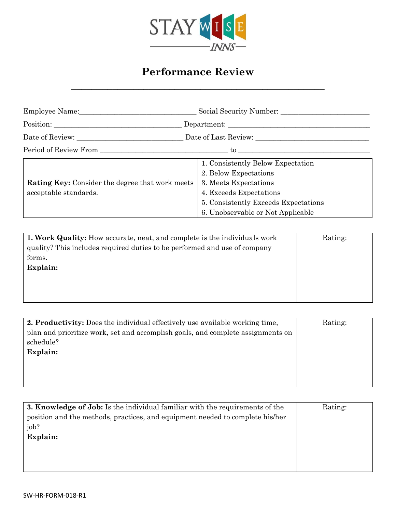

## **Performance Review**

**\_\_\_\_\_\_\_\_\_\_\_\_\_\_\_\_\_\_\_\_\_\_\_\_\_\_\_\_\_\_\_\_\_\_\_\_\_\_\_\_\_\_\_\_\_\_\_\_\_**

| Employee Name:                                                           | Social Security Number:                                                                                                                                                                     |  |
|--------------------------------------------------------------------------|---------------------------------------------------------------------------------------------------------------------------------------------------------------------------------------------|--|
|                                                                          | Department:                                                                                                                                                                                 |  |
|                                                                          |                                                                                                                                                                                             |  |
|                                                                          |                                                                                                                                                                                             |  |
| Rating Key: Consider the degree that work meets<br>acceptable standards. | 1. Consistently Below Expectation<br>2. Below Expectations<br>3. Meets Expectations<br>4. Exceeds Expectations<br>5. Consistently Exceeds Expectations<br>6. Unobservable or Not Applicable |  |

| <b>1. Work Quality:</b> How accurate, neat, and complete is the individuals work | Rating: |
|----------------------------------------------------------------------------------|---------|
| quality? This includes required duties to be performed and use of company        |         |
| forms.                                                                           |         |
| Explain:                                                                         |         |
|                                                                                  |         |
|                                                                                  |         |
|                                                                                  |         |

| 2. Productivity: Does the individual effectively use available working time,    | Rating: |
|---------------------------------------------------------------------------------|---------|
| plan and prioritize work, set and accomplish goals, and complete assignments on |         |
| schedule?                                                                       |         |
| Explain:                                                                        |         |
|                                                                                 |         |
|                                                                                 |         |
|                                                                                 |         |

| <b>3. Knowledge of Job:</b> Is the individual familiar with the requirements of the | Rating: |
|-------------------------------------------------------------------------------------|---------|
| position and the methods, practices, and equipment needed to complete his/her       |         |
| job?                                                                                |         |
| Explain:                                                                            |         |
|                                                                                     |         |
|                                                                                     |         |
|                                                                                     |         |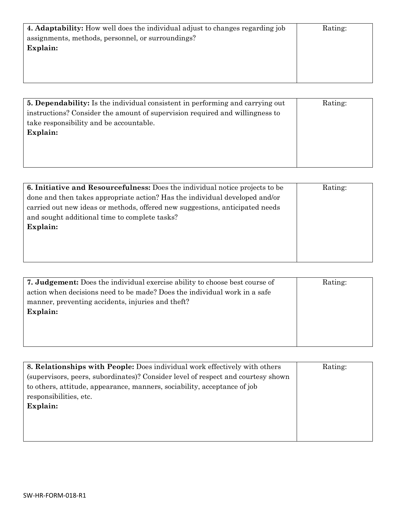| <b>4. Adaptability:</b> How well does the individual adjust to changes regarding job | Rating: |
|--------------------------------------------------------------------------------------|---------|
| assignments, methods, personnel, or surroundings?                                    |         |
| Explain:                                                                             |         |
|                                                                                      |         |
|                                                                                      |         |
|                                                                                      |         |
|                                                                                      |         |

| <b>5. Dependability:</b> Is the individual consistent in performing and carrying out | Rating: |
|--------------------------------------------------------------------------------------|---------|
| instructions? Consider the amount of supervision required and willingness to         |         |
| take responsibility and be accountable.                                              |         |
| Explain:                                                                             |         |
|                                                                                      |         |
|                                                                                      |         |
|                                                                                      |         |

| <b>6. Initiative and Resourcefulness:</b> Does the individual notice projects to be | Rating: |
|-------------------------------------------------------------------------------------|---------|
| done and then takes appropriate action? Has the individual developed and/or         |         |
| carried out new ideas or methods, offered new suggestions, anticipated needs        |         |
| and sought additional time to complete tasks?                                       |         |
| Explain:                                                                            |         |
|                                                                                     |         |
|                                                                                     |         |
|                                                                                     |         |

| <b>7. Judgement:</b> Does the individual exercise ability to choose best course of | Rating: |
|------------------------------------------------------------------------------------|---------|
| action when decisions need to be made? Does the individual work in a safe          |         |
| manner, preventing accidents, injuries and theft?                                  |         |
| Explain:                                                                           |         |
|                                                                                    |         |
|                                                                                    |         |
|                                                                                    |         |

| 8. Relationships with People: Does individual work effectively with others       | Rating: |
|----------------------------------------------------------------------------------|---------|
| (supervisors, peers, subordinates)? Consider level of respect and courtesy shown |         |
| to others, attitude, appearance, manners, sociability, acceptance of job         |         |
| responsibilities, etc.                                                           |         |
| Explain:                                                                         |         |
|                                                                                  |         |
|                                                                                  |         |
|                                                                                  |         |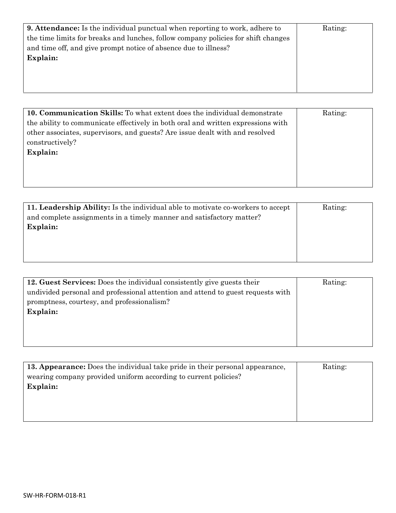| <b>9. Attendance:</b> Is the individual punctual when reporting to work, adhere to | Rating: |
|------------------------------------------------------------------------------------|---------|
| the time limits for breaks and lunches, follow company policies for shift changes  |         |
| and time off, and give prompt notice of absence due to illness?                    |         |
| Explain:                                                                           |         |
|                                                                                    |         |
|                                                                                    |         |
|                                                                                    |         |

| 10. Communication Skills: To what extent does the individual demonstrate         | Rating: |
|----------------------------------------------------------------------------------|---------|
| the ability to communicate effectively in both oral and written expressions with |         |
| other associates, supervisors, and guests? Are issue dealt with and resolved     |         |
| constructively?                                                                  |         |
| Explain:                                                                         |         |
|                                                                                  |         |
|                                                                                  |         |
|                                                                                  |         |

| 11. Leadership Ability: Is the individual able to motivate co-workers to accept | Rating: |
|---------------------------------------------------------------------------------|---------|
| and complete assignments in a timely manner and satisfactory matter?            |         |
| Explain:                                                                        |         |
|                                                                                 |         |
|                                                                                 |         |
|                                                                                 |         |

| 12. Guest Services: Does the individual consistently give guests their          | Rating: |
|---------------------------------------------------------------------------------|---------|
| undivided personal and professional attention and attend to guest requests with |         |
| promptness, courtesy, and professionalism?                                      |         |
| Explain:                                                                        |         |
|                                                                                 |         |
|                                                                                 |         |
|                                                                                 |         |

| 13. Appearance: Does the individual take pride in their personal appearance, | Rating: |
|------------------------------------------------------------------------------|---------|
| wearing company provided uniform according to current policies?              |         |
| Explain:                                                                     |         |
|                                                                              |         |
|                                                                              |         |
|                                                                              |         |